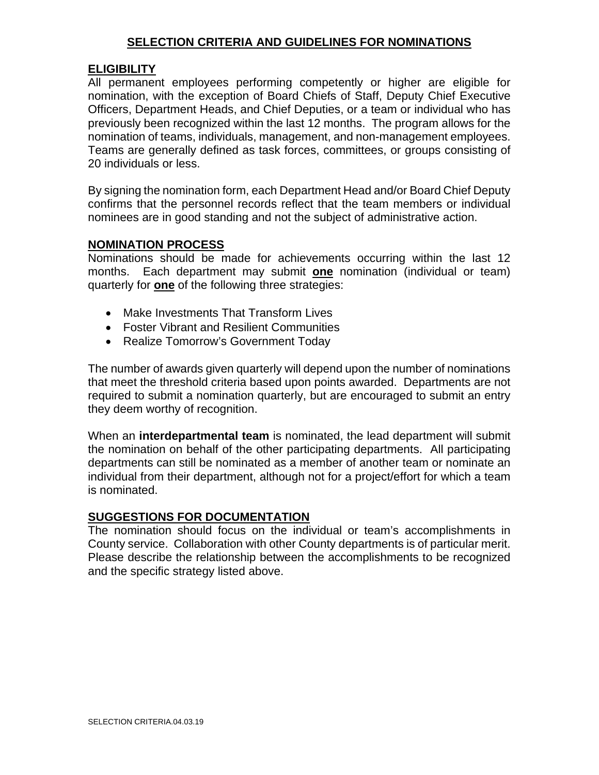## **SELECTION CRITERIA AND GUIDELINES FOR NOMINATIONS**

## **ELIGIBILITY**

All permanent employees performing competently or higher are eligible for nomination, with the exception of Board Chiefs of Staff, Deputy Chief Executive Officers, Department Heads, and Chief Deputies, or a team or individual who has previously been recognized within the last 12 months. The program allows for the nomination of teams, individuals, management, and non-management employees. Teams are generally defined as task forces, committees, or groups consisting of 20 individuals or less.

By signing the nomination form, each Department Head and/or Board Chief Deputy confirms that the personnel records reflect that the team members or individual nominees are in good standing and not the subject of administrative action.

## **NOMINATION PROCESS**

Nominations should be made for achievements occurring within the last 12 months. Each department may submit **one** nomination (individual or team) quarterly for **one** of the following three strategies:

- Make Investments That Transform Lives
- Foster Vibrant and Resilient Communities
- Realize Tomorrow's Government Today

The number of awards given quarterly will depend upon the number of nominations that meet the threshold criteria based upon points awarded. Departments are not required to submit a nomination quarterly, but are encouraged to submit an entry they deem worthy of recognition.

When an **interdepartmental team** is nominated, the lead department will submit the nomination on behalf of the other participating departments. All participating departments can still be nominated as a member of another team or nominate an individual from their department, although not for a project/effort for which a team is nominated.

## **SUGGESTIONS FOR DOCUMENTATION**

The nomination should focus on the individual or team's accomplishments in County service. Collaboration with other County departments is of particular merit. Please describe the relationship between the accomplishments to be recognized and the specific strategy listed above.